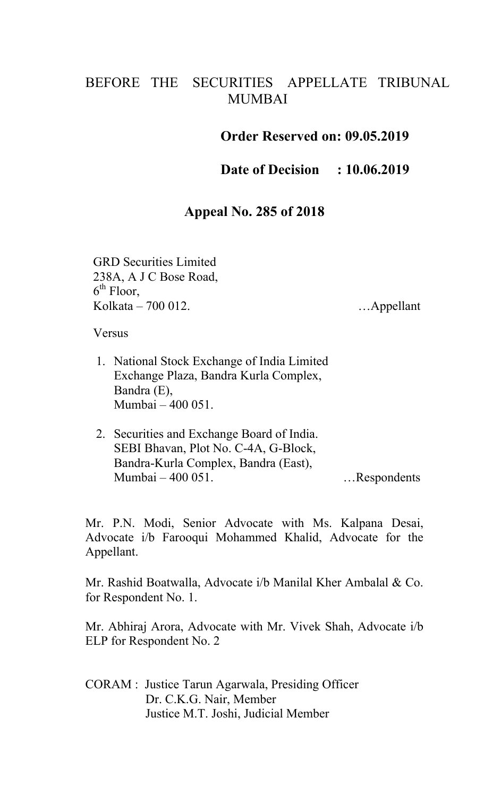## BEFORE THE SECURITIES APPELLATE TRIBUNAL MUMBAI

## **Order Reserved on: 09.05.2019**

**Date of Decision : 10.06.2019**

## **Appeal No. 285 of 2018**

GRD Securities Limited 238A, A J C Bose Road, 6<sup>th</sup> Floor, Kolkata – 700 012. **Example 19 Appellant** 1. Appellant

Versus

- 1. National Stock Exchange of India Limited Exchange Plaza, Bandra Kurla Complex, Bandra (E), Mumbai – 400 051.
- 2. Securities and Exchange Board of India. SEBI Bhavan, Plot No. C-4A, G-Block, Bandra-Kurla Complex, Bandra (East), Mumbai – 400 051. …Respondents

Mr. P.N. Modi, Senior Advocate with Ms. Kalpana Desai, Advocate i/b Farooqui Mohammed Khalid, Advocate for the Appellant.

Mr. Rashid Boatwalla, Advocate i/b Manilal Kher Ambalal & Co. for Respondent No. 1.

Mr. Abhiraj Arora, Advocate with Mr. Vivek Shah, Advocate i/b ELP for Respondent No. 2

CORAM : Justice Tarun Agarwala, Presiding Officer Dr. C.K.G. Nair, Member Justice M.T. Joshi, Judicial Member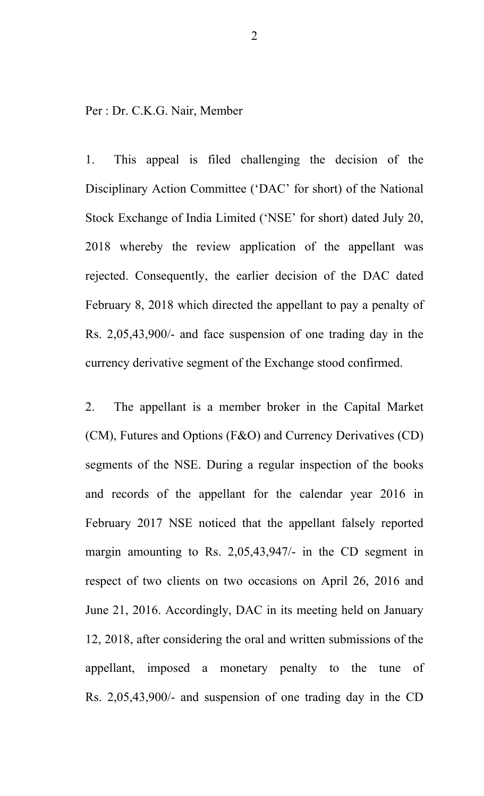Per : Dr. C.K.G. Nair, Member

1. This appeal is filed challenging the decision of the Disciplinary Action Committee ('DAC' for short) of the National Stock Exchange of India Limited ('NSE' for short) dated July 20, 2018 whereby the review application of the appellant was rejected. Consequently, the earlier decision of the DAC dated February 8, 2018 which directed the appellant to pay a penalty of Rs. 2,05,43,900/- and face suspension of one trading day in the currency derivative segment of the Exchange stood confirmed.

2. The appellant is a member broker in the Capital Market (CM), Futures and Options (F&O) and Currency Derivatives (CD) segments of the NSE. During a regular inspection of the books and records of the appellant for the calendar year 2016 in February 2017 NSE noticed that the appellant falsely reported margin amounting to Rs. 2,05,43,947/- in the CD segment in respect of two clients on two occasions on April 26, 2016 and June 21, 2016. Accordingly, DAC in its meeting held on January 12, 2018, after considering the oral and written submissions of the appellant, imposed a monetary penalty to the tune of Rs. 2,05,43,900/- and suspension of one trading day in the CD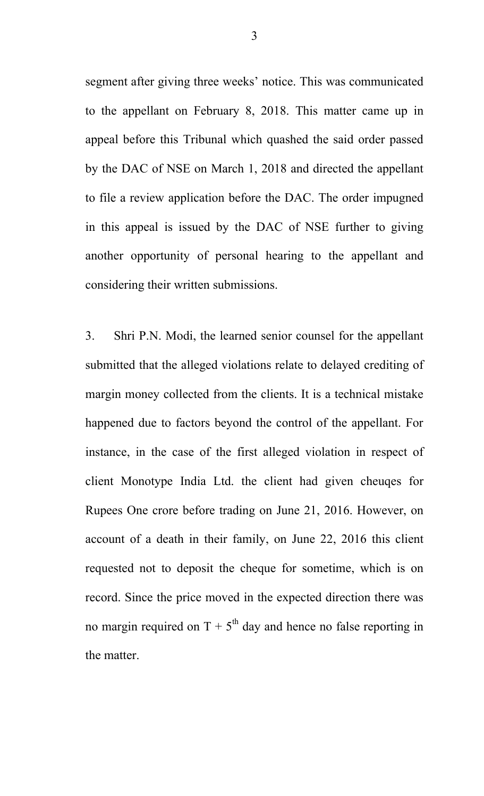segment after giving three weeks' notice. This was communicated to the appellant on February 8, 2018. This matter came up in appeal before this Tribunal which quashed the said order passed by the DAC of NSE on March 1, 2018 and directed the appellant to file a review application before the DAC. The order impugned in this appeal is issued by the DAC of NSE further to giving another opportunity of personal hearing to the appellant and considering their written submissions.

3. Shri P.N. Modi, the learned senior counsel for the appellant submitted that the alleged violations relate to delayed crediting of margin money collected from the clients. It is a technical mistake happened due to factors beyond the control of the appellant. For instance, in the case of the first alleged violation in respect of client Monotype India Ltd. the client had given cheuqes for Rupees One crore before trading on June 21, 2016. However, on account of a death in their family, on June 22, 2016 this client requested not to deposit the cheque for sometime, which is on record. Since the price moved in the expected direction there was no margin required on  $T + 5<sup>th</sup>$  day and hence no false reporting in the matter.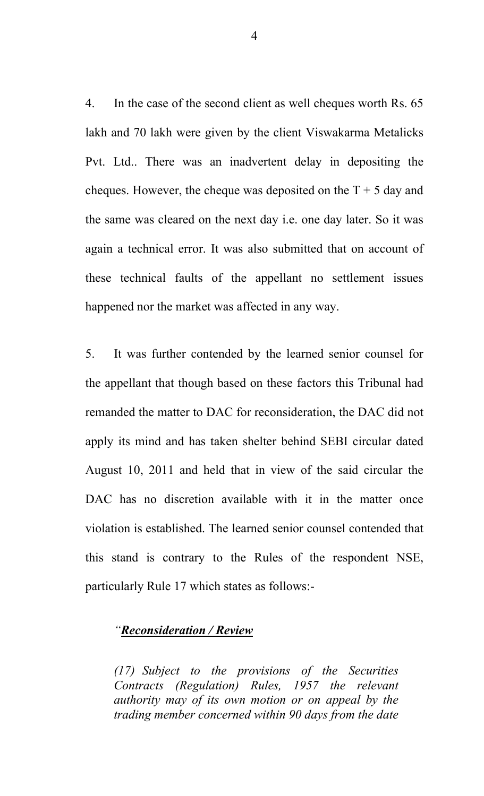4. In the case of the second client as well cheques worth Rs. 65 lakh and 70 lakh were given by the client Viswakarma Metalicks Pvt. Ltd.. There was an inadvertent delay in depositing the cheques. However, the cheque was deposited on the  $T + 5$  day and the same was cleared on the next day i.e. one day later. So it was again a technical error. It was also submitted that on account of these technical faults of the appellant no settlement issues happened nor the market was affected in any way.

5. It was further contended by the learned senior counsel for the appellant that though based on these factors this Tribunal had remanded the matter to DAC for reconsideration, the DAC did not apply its mind and has taken shelter behind SEBI circular dated August 10, 2011 and held that in view of the said circular the DAC has no discretion available with it in the matter once violation is established. The learned senior counsel contended that this stand is contrary to the Rules of the respondent NSE, particularly Rule 17 which states as follows:-

## *"Reconsideration / Review*

*(17) Subject to the provisions of the Securities Contracts (Regulation) Rules, 1957 the relevant authority may of its own motion or on appeal by the trading member concerned within 90 days from the date* 

4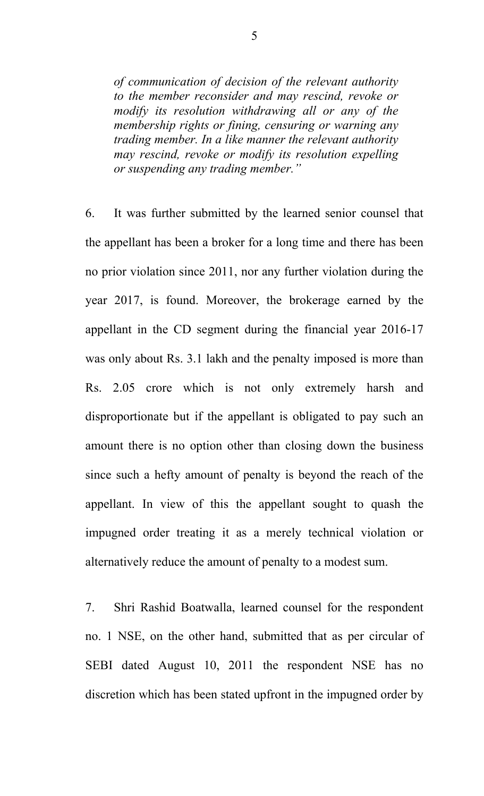*of communication of decision of the relevant authority to the member reconsider and may rescind, revoke or modify its resolution withdrawing all or any of the membership rights or fining, censuring or warning any trading member. In a like manner the relevant authority may rescind, revoke or modify its resolution expelling or suspending any trading member."*

6. It was further submitted by the learned senior counsel that the appellant has been a broker for a long time and there has been no prior violation since 2011, nor any further violation during the year 2017, is found. Moreover, the brokerage earned by the appellant in the CD segment during the financial year 2016-17 was only about Rs. 3.1 lakh and the penalty imposed is more than Rs. 2.05 crore which is not only extremely harsh and disproportionate but if the appellant is obligated to pay such an amount there is no option other than closing down the business since such a hefty amount of penalty is beyond the reach of the appellant. In view of this the appellant sought to quash the impugned order treating it as a merely technical violation or alternatively reduce the amount of penalty to a modest sum.

7. Shri Rashid Boatwalla, learned counsel for the respondent no. 1 NSE, on the other hand, submitted that as per circular of SEBI dated August 10, 2011 the respondent NSE has no discretion which has been stated upfront in the impugned order by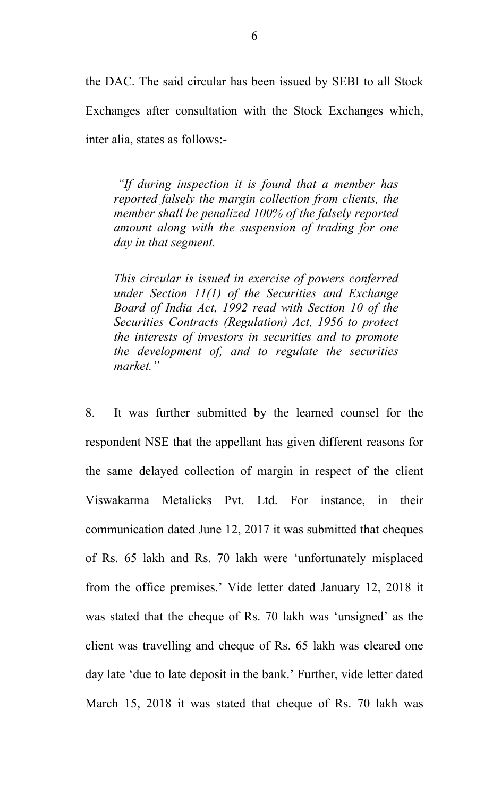the DAC. The said circular has been issued by SEBI to all Stock Exchanges after consultation with the Stock Exchanges which, inter alia, states as follows:-

*"If during inspection it is found that a member has reported falsely the margin collection from clients, the member shall be penalized 100% of the falsely reported amount along with the suspension of trading for one day in that segment.* 

*This circular is issued in exercise of powers conferred under Section 11(1) of the Securities and Exchange Board of India Act, 1992 read with Section 10 of the Securities Contracts (Regulation) Act, 1956 to protect the interests of investors in securities and to promote the development of, and to regulate the securities market."*

8. It was further submitted by the learned counsel for the respondent NSE that the appellant has given different reasons for the same delayed collection of margin in respect of the client Viswakarma Metalicks Pvt. Ltd. For instance, in their communication dated June 12, 2017 it was submitted that cheques of Rs. 65 lakh and Rs. 70 lakh were 'unfortunately misplaced from the office premises.' Vide letter dated January 12, 2018 it was stated that the cheque of Rs. 70 lakh was 'unsigned' as the client was travelling and cheque of Rs. 65 lakh was cleared one day late 'due to late deposit in the bank.' Further, vide letter dated March 15, 2018 it was stated that cheque of Rs. 70 lakh was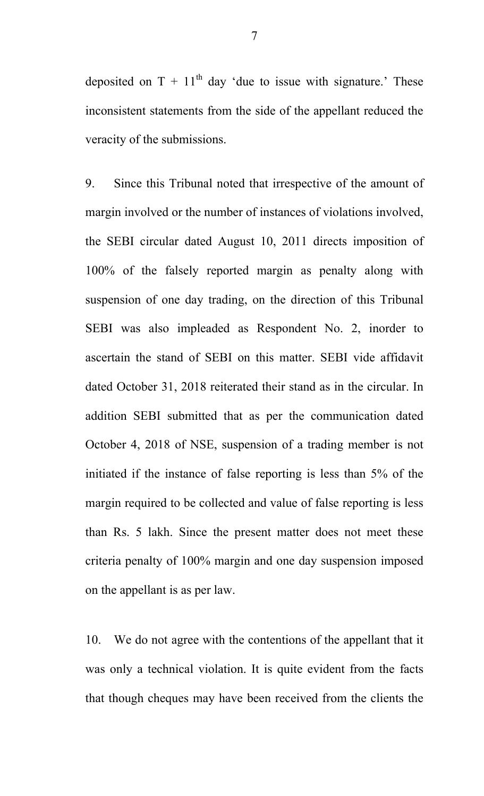deposited on  $T + 11<sup>th</sup>$  day 'due to issue with signature.' These inconsistent statements from the side of the appellant reduced the veracity of the submissions.

9. Since this Tribunal noted that irrespective of the amount of margin involved or the number of instances of violations involved, the SEBI circular dated August 10, 2011 directs imposition of 100% of the falsely reported margin as penalty along with suspension of one day trading, on the direction of this Tribunal SEBI was also impleaded as Respondent No. 2, inorder to ascertain the stand of SEBI on this matter. SEBI vide affidavit dated October 31, 2018 reiterated their stand as in the circular. In addition SEBI submitted that as per the communication dated October 4, 2018 of NSE, suspension of a trading member is not initiated if the instance of false reporting is less than 5% of the margin required to be collected and value of false reporting is less than Rs. 5 lakh. Since the present matter does not meet these criteria penalty of 100% margin and one day suspension imposed on the appellant is as per law.

10. We do not agree with the contentions of the appellant that it was only a technical violation. It is quite evident from the facts that though cheques may have been received from the clients the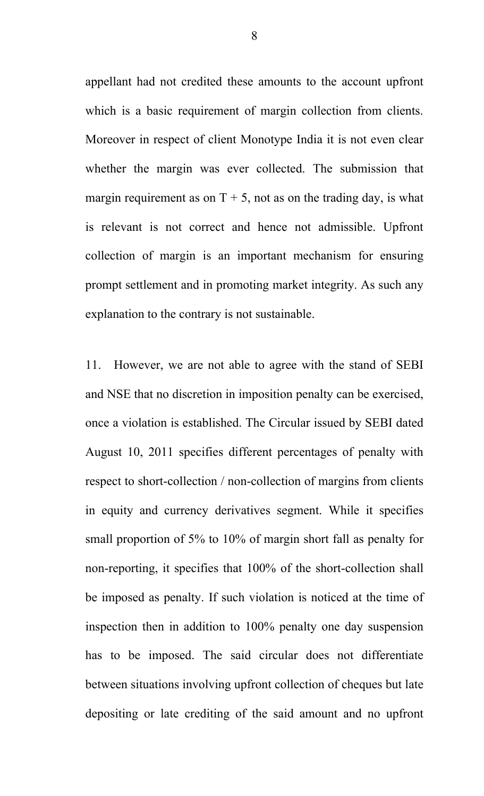appellant had not credited these amounts to the account upfront which is a basic requirement of margin collection from clients. Moreover in respect of client Monotype India it is not even clear whether the margin was ever collected. The submission that margin requirement as on  $T + 5$ , not as on the trading day, is what is relevant is not correct and hence not admissible. Upfront collection of margin is an important mechanism for ensuring prompt settlement and in promoting market integrity. As such any explanation to the contrary is not sustainable.

11. However, we are not able to agree with the stand of SEBI and NSE that no discretion in imposition penalty can be exercised, once a violation is established. The Circular issued by SEBI dated August 10, 2011 specifies different percentages of penalty with respect to short-collection / non-collection of margins from clients in equity and currency derivatives segment. While it specifies small proportion of 5% to 10% of margin short fall as penalty for non-reporting, it specifies that 100% of the short-collection shall be imposed as penalty. If such violation is noticed at the time of inspection then in addition to 100% penalty one day suspension has to be imposed. The said circular does not differentiate between situations involving upfront collection of cheques but late depositing or late crediting of the said amount and no upfront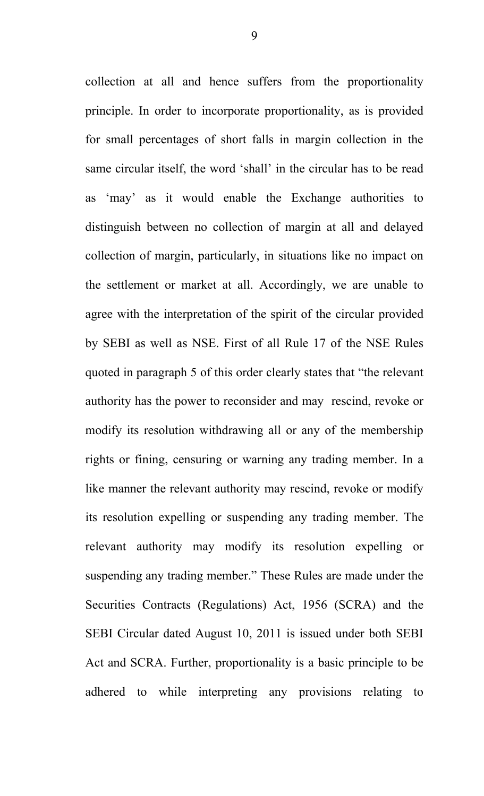collection at all and hence suffers from the proportionality principle. In order to incorporate proportionality, as is provided for small percentages of short falls in margin collection in the same circular itself, the word 'shall' in the circular has to be read as 'may' as it would enable the Exchange authorities to distinguish between no collection of margin at all and delayed collection of margin, particularly, in situations like no impact on the settlement or market at all. Accordingly, we are unable to agree with the interpretation of the spirit of the circular provided by SEBI as well as NSE. First of all Rule 17 of the NSE Rules quoted in paragraph 5 of this order clearly states that "the relevant authority has the power to reconsider and may rescind, revoke or modify its resolution withdrawing all or any of the membership rights or fining, censuring or warning any trading member. In a like manner the relevant authority may rescind, revoke or modify its resolution expelling or suspending any trading member. The relevant authority may modify its resolution expelling or suspending any trading member." These Rules are made under the Securities Contracts (Regulations) Act, 1956 (SCRA) and the SEBI Circular dated August 10, 2011 is issued under both SEBI Act and SCRA. Further, proportionality is a basic principle to be adhered to while interpreting any provisions relating to

9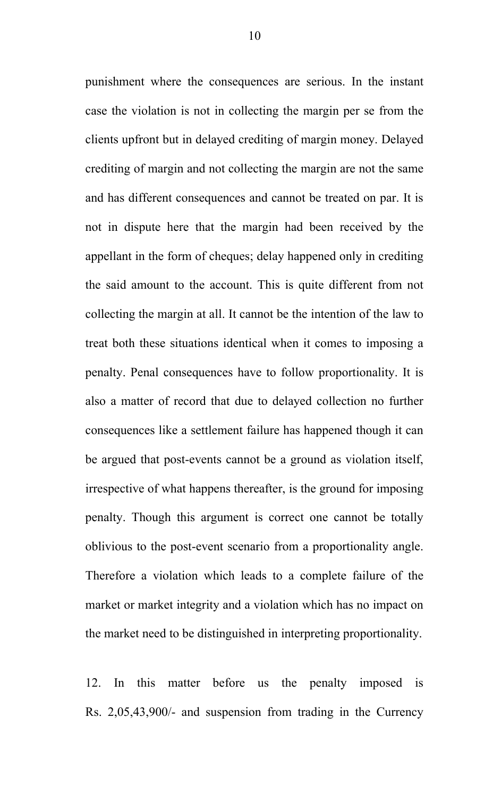punishment where the consequences are serious. In the instant case the violation is not in collecting the margin per se from the clients upfront but in delayed crediting of margin money. Delayed crediting of margin and not collecting the margin are not the same and has different consequences and cannot be treated on par. It is not in dispute here that the margin had been received by the appellant in the form of cheques; delay happened only in crediting the said amount to the account. This is quite different from not collecting the margin at all. It cannot be the intention of the law to treat both these situations identical when it comes to imposing a penalty. Penal consequences have to follow proportionality. It is also a matter of record that due to delayed collection no further consequences like a settlement failure has happened though it can be argued that post-events cannot be a ground as violation itself, irrespective of what happens thereafter, is the ground for imposing penalty. Though this argument is correct one cannot be totally oblivious to the post-event scenario from a proportionality angle. Therefore a violation which leads to a complete failure of the market or market integrity and a violation which has no impact on the market need to be distinguished in interpreting proportionality.

12. In this matter before us the penalty imposed is Rs. 2,05,43,900/- and suspension from trading in the Currency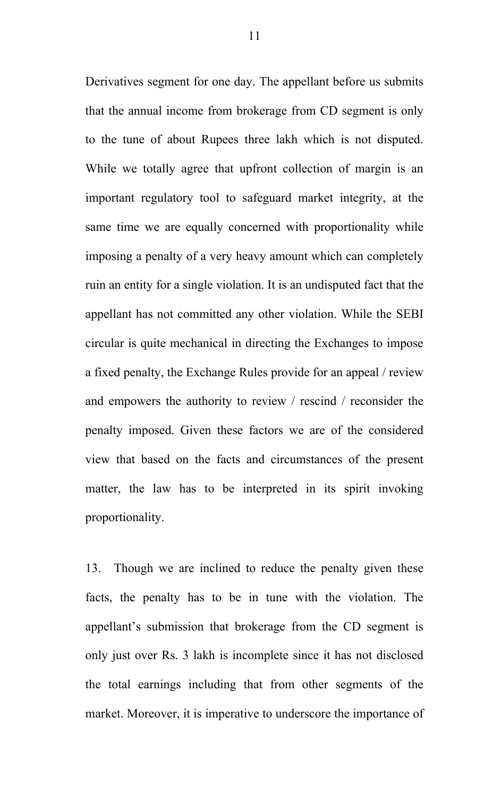Derivatives segment for one day. The appellant before us submits that the annual income from brokerage from CD segment is only to the tune of about Rupees three lakh which is not disputed. While we totally agree that upfront collection of margin is an important regulatory tool to safeguard market integrity, at the same time we are equally concerned with proportionality while imposing a penalty of a very heavy amount which can completely ruin an entity for a single violation. It is an undisputed fact that the appellant has not committed any other violation. While the SEBI circular is quite mechanical in directing the Exchanges to impose a fixed penalty, the Exchange Rules provide for an appeal / review and empowers the authority to review / rescind / reconsider the penalty imposed. Given these factors we are of the considered view that based on the facts and circumstances of the present matter, the law has to be interpreted in its spirit invoking proportionality.

13. Though we are inclined to reduce the penalty given these facts, the penalty has to be in tune with the violation. The appellant's submission that brokerage from the CD segment is only just over Rs. 3 lakh is incomplete since it has not disclosed the total earnings including that from other segments of the market. Moreover, it is imperative to underscore the importance of